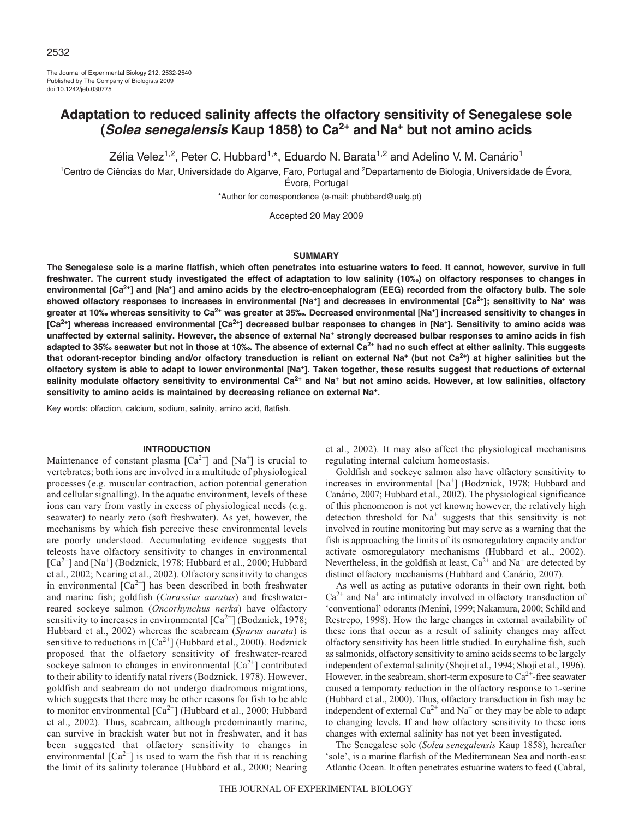The Journal of Experimental Biology 212, 2532-2540 Published by The Company of Biologists 2009 doi:10.1242/jeb.030775

# **Adaptation to reduced salinity affects the olfactory sensitivity of Senegalese sole (Solea senegalensis Kaup 1858) to Ca2+ and Na+ but not amino acids**

Zélia Velez<sup>1,2</sup>, Peter C. Hubbard<sup>1,\*</sup>, Eduardo N. Barata<sup>1,2</sup> and Adelino V. M. Canário<sup>1</sup>

<sup>1</sup>Centro de Ciências do Mar, Universidade do Algarve, Faro, Portugal and <sup>2</sup>Departamento de Biologia, Universidade de Évora, Évora, Portugal

\*Author for correspondence (e-mail: phubbard@ualg.pt)

Accepted 20 May 2009

### **SUMMARY**

**The Senegalese sole is a marine flatfish, which often penetrates into estuarine waters to feed. It cannot, however, survive in full freshwater. The current study investigated the effect of adaptation to low salinity (10‰) on olfactory responses to changes in environmental [Ca2+] and [Na+] and amino acids by the electro-encephalogram (EEG) recorded from the olfactory bulb. The sole showed olfactory responses to increases in environmental [Na+] and decreases in environmental [Ca2+]; sensitivity to Na+ was greater at 10‰ whereas sensitivity to Ca2+ was greater at 35‰. Decreased environmental [Na+] increased sensitivity to changes in [Ca2+] whereas increased environmental [Ca2+] decreased bulbar responses to changes in [Na+]. Sensitivity to amino acids was unaffected by external salinity. However, the absence of external Na+ strongly decreased bulbar responses to amino acids in fish adapted to 35‰ seawater but not in those at 10‰. The absence of external Ca2+ had no such effect at either salinity. This suggests that odorant-receptor binding and/or olfactory transduction is reliant on external Na+ (but not Ca2+) at higher salinities but the olfactory system is able to adapt to lower environmental [Na+]. Taken together, these results suggest that reductions of external salinity modulate olfactory sensitivity to environmental Ca2+ and Na+ but not amino acids. However, at low salinities, olfactory** sensitivity to amino acids is maintained by decreasing reliance on external Na<sup>+</sup>.

Key words: olfaction, calcium, sodium, salinity, amino acid, flatfish.

# **INTRODUCTION**

Maintenance of constant plasma  $[Ca^{2+}]$  and  $[Na^{+}]$  is crucial to vertebrates; both ions are involved in a multitude of physiological processes (e.g. muscular contraction, action potential generation and cellular signalling). In the aquatic environment, levels of these ions can vary from vastly in excess of physiological needs (e.g. seawater) to nearly zero (soft freshwater). As yet, however, the mechanisms by which fish perceive these environmental levels are poorly understood. Accumulating evidence suggests that teleosts have olfactory sensitivity to changes in environmental  $[Ca^{2+}]$  and  $[Na^+]$  (Bodznick, 1978; Hubbard et al., 2000; Hubbard et al., 2002; Nearing et al., 2002). Olfactory sensitivity to changes in environmental  $[Ca^{2+}]$  has been described in both freshwater and marine fish; goldfish (*Carassius auratus*) and freshwaterreared sockeye salmon (*Oncorhynchus nerka*) have olfactory sensitivity to increases in environmental  $[Ca^{2+}]$  (Bodznick, 1978; Hubbard et al., 2002) whereas the seabream (*Sparus aurata*) is sensitive to reductions in  $[Ca^{2+}]$  (Hubbard et al., 2000). Bodznick proposed that the olfactory sensitivity of freshwater-reared sockeye salmon to changes in environmental  $[Ca^{2+}]$  contributed to their ability to identify natal rivers (Bodznick, 1978). However, goldfish and seabream do not undergo diadromous migrations, which suggests that there may be other reasons for fish to be able to monitor environmental  $[Ca^{2+}]$  (Hubbard et al., 2000; Hubbard et al., 2002). Thus, seabream, although predominantly marine, can survive in brackish water but not in freshwater, and it has been suggested that olfactory sensitivity to changes in environmental  $\lceil Ca^{2+} \rceil$  is used to warn the fish that it is reaching the limit of its salinity tolerance (Hubbard et al., 2000; Nearing et al., 2002). It may also affect the physiological mechanisms regulating internal calcium homeostasis.

Goldfish and sockeye salmon also have olfactory sensitivity to increases in environmental [Na<sup>+</sup>] (Bodznick, 1978; Hubbard and Canário, 2007; Hubbard et al., 2002). The physiological significance of this phenomenon is not yet known; however, the relatively high detection threshold for  $Na<sup>+</sup>$  suggests that this sensitivity is not involved in routine monitoring but may serve as a warning that the fish is approaching the limits of its osmoregulatory capacity and/or activate osmoregulatory mechanisms (Hubbard et al., 2002). Nevertheless, in the goldfish at least,  $Ca^{2+}$  and  $Na^{+}$  are detected by distinct olfactory mechanisms (Hubbard and Canário, 2007).

As well as acting as putative odorants in their own right, both  $Ca<sup>2+</sup>$  and Na<sup>+</sup> are intimately involved in olfactory transduction of 'conventional' odorants (Menini, 1999; Nakamura, 2000; Schild and Restrepo, 1998). How the large changes in external availability of these ions that occur as a result of salinity changes may affect olfactory sensitivity has been little studied. In euryhaline fish, such as salmonids, olfactory sensitivity to amino acids seems to be largely independent of external salinity (Shoji et al., 1994; Shoji et al., 1996). However, in the seabream, short-term exposure to  $Ca^{2+}$ -free seawater caused a temporary reduction in the olfactory response to L-serine (Hubbard et al., 2000). Thus, olfactory transduction in fish may be independent of external  $Ca^{2+}$  and  $Na^{+}$  or they may be able to adapt to changing levels. If and how olfactory sensitivity to these ions changes with external salinity has not yet been investigated.

The Senegalese sole (*Solea senegalensis* Kaup 1858), hereafter 'sole', is a marine flatfish of the Mediterranean Sea and north-east Atlantic Ocean. It often penetrates estuarine waters to feed (Cabral,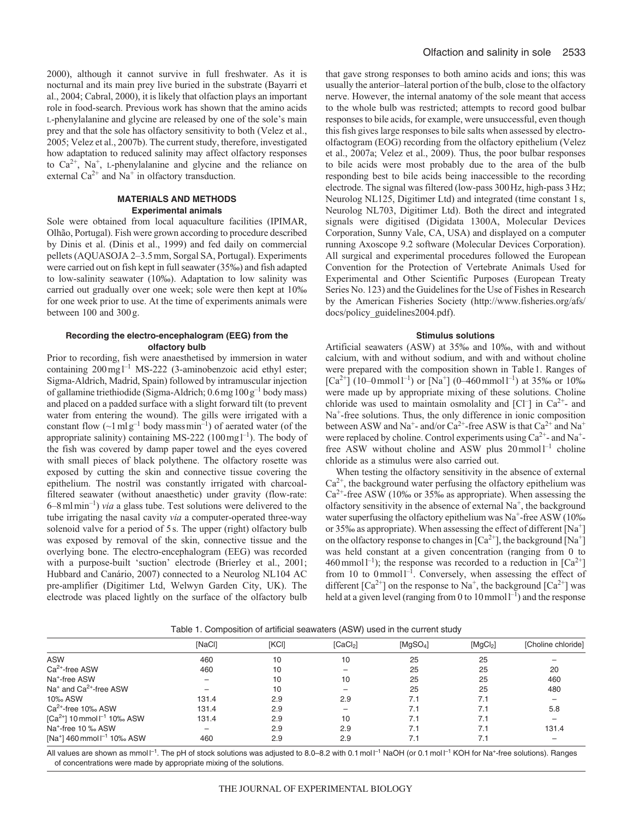2000), although it cannot survive in full freshwater. As it is nocturnal and its main prey live buried in the substrate (Bayarri et al., 2004; Cabral, 2000), it is likely that olfaction plays an important role in food-search. Previous work has shown that the amino acids L-phenylalanine and glycine are released by one of the sole's main prey and that the sole has olfactory sensitivity to both (Velez et al., 2005; Velez et al., 2007b). The current study, therefore, investigated how adaptation to reduced salinity may affect olfactory responses to  $Ca^{2+}$ , Na<sup>+</sup>, L-phenylalanine and glycine and the reliance on external  $Ca^{2+}$  and  $Na^{+}$  in olfactory transduction.

## **MATERIALS AND METHODS Experimental animals**

Sole were obtained from local aquaculture facilities (IPIMAR, Olhão, Portugal). Fish were grown according to procedure described by Dinis et al. (Dinis et al., 1999) and fed daily on commercial pellets (AQUASOJA 2–3.5mm, Sorgal SA, Portugal). Experiments were carried out on fish kept in full seawater (35‰) and fish adapted to low-salinity seawater (10‰). Adaptation to low salinity was carried out gradually over one week; sole were then kept at 10‰ for one week prior to use. At the time of experiments animals were between 100 and 300g.

# **Recording the electro-encephalogram (EEG) from the olfactory bulb**

Prior to recording, fish were anaesthetised by immersion in water containing  $200 \,\text{mg} \, \text{l}^{-1}$  MS-222 (3-aminobenzoic acid ethyl ester; Sigma-Aldrich, Madrid, Spain) followed by intramuscular injection of gallamine triethiodide (Sigma-Aldrich; 0.6mg100g–1 body mass) and placed on a padded surface with a slight forward tilt (to prevent water from entering the wound). The gills were irrigated with a constant flow  $(\sim 1 \text{ m} \text{ g}^{-1}$  body mass  $\text{min}^{-1}$ ) of aerated water (of the appropriate salinity) containing MS-222 (100 mg  $l^{-1}$ ). The body of the fish was covered by damp paper towel and the eyes covered with small pieces of black polythene. The olfactory rosette was exposed by cutting the skin and connective tissue covering the epithelium. The nostril was constantly irrigated with charcoalfiltered seawater (without anaesthetic) under gravity (flow-rate: 6–8mlmin–1) *via* a glass tube. Test solutions were delivered to the tube irrigating the nasal cavity *via* a computer-operated three-way solenoid valve for a period of 5s. The upper (right) olfactory bulb was exposed by removal of the skin, connective tissue and the overlying bone. The electro-encephalogram (EEG) was recorded with a purpose-built 'suction' electrode (Brierley et al., 2001; Hubbard and Canário, 2007) connected to a Neurolog NL104 AC pre-amplifier (Digitimer Ltd, Welwyn Garden City, UK). The electrode was placed lightly on the surface of the olfactory bulb that gave strong responses to both amino acids and ions; this was usually the anterior–lateral portion of the bulb, close to the olfactory nerve. However, the internal anatomy of the sole meant that access to the whole bulb was restricted; attempts to record good bulbar responses to bile acids, for example, were unsuccessful, even though this fish gives large responses to bile salts when assessed by electroolfactogram (EOG) recording from the olfactory epithelium (Velez et al., 2007a; Velez et al., 2009). Thus, the poor bulbar responses to bile acids were most probably due to the area of the bulb responding best to bile acids being inaccessible to the recording electrode. The signal was filtered (low-pass 300Hz, high-pass 3Hz; Neurolog NL125, Digitimer Ltd) and integrated (time constant 1s, Neurolog NL703, Digitimer Ltd). Both the direct and integrated signals were digitised (Digidata 1300A, Molecular Devices Corporation, Sunny Vale, CA, USA) and displayed on a computer running Axoscope 9.2 software (Molecular Devices Corporation). All surgical and experimental procedures followed the European Convention for the Protection of Vertebrate Animals Used for Experimental and Other Scientific Purposes (European Treaty Series No. 123) and the Guidelines for the Use of Fishes in Research by the American Fisheries Society (http://www.fisheries.org/afs/ docs/policy\_guidelines2004.pdf).

### **Stimulus solutions**

Artificial seawaters (ASW) at 35‰ and 10‰, with and without calcium, with and without sodium, and with and without choline were prepared with the composition shown in Table1. Ranges of  $\lceil Ca^{2+} \rceil$  (10–0 mmol<sup>1–1</sup>) or  $\lceil Na^+ \rceil$  (0–460 mmol<sup>1–1</sup>) at 35‰ or 10‰ were made up by appropriate mixing of these solutions. Choline chloride was used to maintain osmolality and  $[Cl^-]$  in  $Ca^{2+}$ - and  $Na<sup>+</sup>$ -free solutions. Thus, the only difference in ionic composition between ASW and Na<sup>+</sup>- and/or Ca<sup>2+</sup>-free ASW is that Ca<sup>2+</sup> and Na<sup>+</sup> were replaced by choline. Control experiments using Ca<sup>2+</sup>- and Na<sup>+</sup>free ASW without choline and ASW plus  $20$  mmol<sup>1-1</sup> choline chloride as a stimulus were also carried out.

When testing the olfactory sensitivity in the absence of external  $Ca<sup>2+</sup>$ , the background water perfusing the olfactory epithelium was  $Ca<sup>2+</sup>$ -free ASW (10‰ or 35‰ as appropriate). When assessing the olfactory sensitivity in the absence of external  $Na<sup>+</sup>$ , the background water superfusing the olfactory epithelium was  $Na^+$ -free ASW (10‰ or 35‰ as appropriate). When assessing the effect of different  $[Na^+]$ on the olfactory response to changes in  $[Ca^{2+}]$ , the background  $[Na^{+}]$ was held constant at a given concentration (ranging from 0 to 460 mmol<sup>1-1</sup>); the response was recorded to a reduction in  $[Ca^{2+}]$ from 10 to  $0$  mmol<sup>1-1</sup>. Conversely, when assessing the effect of different  $[Ca^{2+}]$  on the response to Na<sup>+</sup>, the background  $[Ca^{2+}]$  was held at a given level (ranging from 0 to  $10$  mmol $1^{-1}$ ) and the response

|                                                     | [NaCl] | [KCI] | [CaCl <sub>2</sub> ]     | [MqSO <sub>4</sub> ] | [MgCl <sub>2</sub> ] | [Choline chloride] |  |
|-----------------------------------------------------|--------|-------|--------------------------|----------------------|----------------------|--------------------|--|
| <b>ASW</b>                                          | 460    | 10    | 10                       | 25                   | 25                   |                    |  |
| Ca <sup>2+</sup> -free ASW                          | 460    | 10    |                          | 25                   | 25                   | 20                 |  |
| Na <sup>+</sup> -free ASW                           |        | 10    | 10                       | 25                   | 25                   | 460                |  |
| Na <sup>+</sup> and Ca <sup>2+</sup> -free ASW      |        | 10    |                          | 25                   | 25                   | 480                |  |
| 10% ASW                                             | 131.4  | 2.9   | 2.9                      | 7.1                  | 7.1                  |                    |  |
| $Ca2+$ -free 10% ASW                                | 131.4  | 2.9   | $\overline{\phantom{m}}$ | 7.1                  | 7.1                  | 5.8                |  |
| [Ca <sup>2+</sup> ] 10 mmol $I^{-1}$ 10% ASW        | 131.4  | 2.9   | 10                       | 7.1                  | 7.1                  |                    |  |
| Na <sup>+</sup> -free 10 % ASW                      |        | 2.9   | 2.9                      | 7.1                  | 7.1                  | 131.4              |  |
| [Na <sup>+</sup> ] 460 mmol l <sup>-1</sup> 10% ASW | 460    | 2.9   | 2.9                      |                      | 7.1                  |                    |  |
|                                                     |        |       |                          |                      |                      |                    |  |

Table 1. Composition of artificial seawaters (ASW) used in the current study

All values are shown as mmol  $^{-1}$ . The pH of stock solutions was adjusted to 8.0–8.2 with 0.1 mol  $^{-1}$  NaOH (or 0.1 mol  $^{-1}$  KOH for Na<sup>+</sup>-free solutions). Ranges of concentrations were made by appropriate mixing of the solutions.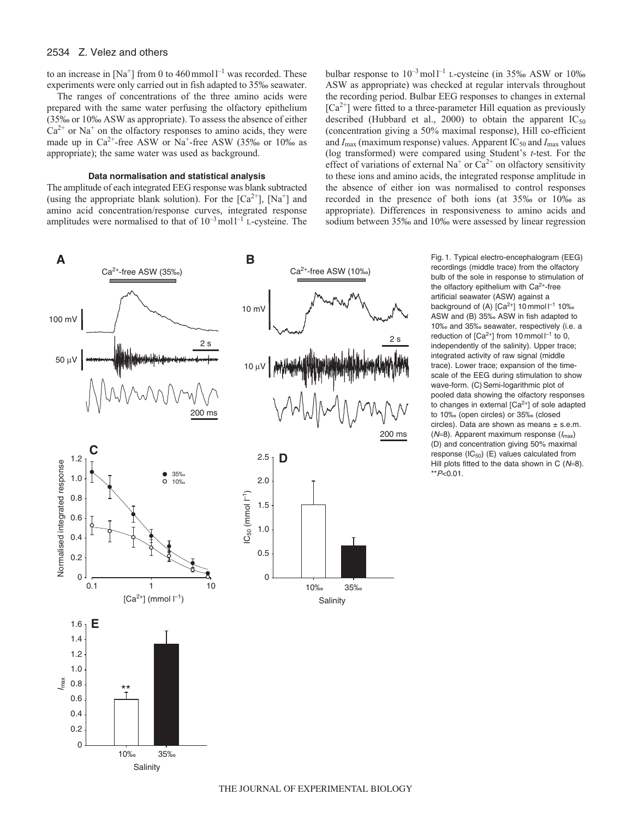# 2534 Z. Velez and others

to an increase in  $[Na^+]$  from 0 to 460 mmol  $I^{-1}$  was recorded. These experiments were only carried out in fish adapted to 35‰ seawater.

The ranges of concentrations of the three amino acids were prepared with the same water perfusing the olfactory epithelium (35‰ or 10‰ ASW as appropriate). To assess the absence of either  $Ca^{2+}$  or Na<sup>+</sup> on the olfactory responses to amino acids, they were made up in  $Ca^{2+}$ -free ASW or Na<sup>+</sup>-free ASW (35‰ or 10‰ as appropriate); the same water was used as background.

#### **Data normalisation and statistical analysis**

The amplitude of each integrated EEG response was blank subtracted (using the appropriate blank solution). For the  $[Ca^{2+}]$ ,  $[Na^{+}]$  and amino acid concentration/response curves, integrated response amplitudes were normalised to that of  $10^{-3}$  moll<sup>-1</sup> L-cysteine. The bulbar response to  $10^{-3}$  moll<sup>-1</sup> L-cysteine (in 35‰ ASW or 10‰ ASW as appropriate) was checked at regular intervals throughout the recording period. Bulbar EEG responses to changes in external  $[Ca^{2+}]$  were fitted to a three-parameter Hill equation as previously described (Hubbard et al., 2000) to obtain the apparent  $IC_{50}$ (concentration giving a 50% maximal response), Hill co-efficient and *I*<sub>max</sub> (maximum response) values. Apparent IC<sub>50</sub> and *I*<sub>max</sub> values (log transformed) were compared using Student's *t*-test. For the effect of variations of external  $Na<sup>+</sup>$  or  $Ca<sup>2+</sup>$  on olfactory sensitivity to these ions and amino acids, the integrated response amplitude in the absence of either ion was normalised to control responses recorded in the presence of both ions (at 35‰ or 10‰ as appropriate). Differences in responsiveness to amino acids and sodium between 35‰ and 10‰ were assessed by linear regression



recordings (middle trace) from the olfactory bulb of the sole in response to stimulation of the olfactory epithelium with  $Ca<sup>2+</sup>$ -free artificial seawater (ASW) against a background of (A)  $[Ca^{2+}]$  10 mmol  $I^{-1}$  10‰ ASW and (B) 35‰ ASW in fish adapted to 10‰ and 35‰ seawater, respectively (i.e. a reduction of  $[Ca^{2+}]$  from 10 mmol  $I^{-1}$  to 0, independently of the salinity). Upper trace; integrated activity of raw signal (middle trace). Lower trace; expansion of the timescale of the EEG during stimulation to show wave-form. (C) Semi-logarithmic plot of pooled data showing the olfactory responses to changes in external [Ca<sup>2+</sup>] of sole adapted to 10‰ (open circles) or 35‰ (closed circles). Data are shown as means  $\pm$  s.e.m. ( $N=8$ ). Apparent maximum response ( $I_{\text{max}}$ ) (D) and concentration giving 50% maximal response  $(IC_{50})$   $(E)$  values calculated from Hill plots fitted to the data shown in C  $(N=8)$ .  $*$ *P* $<$ 0.01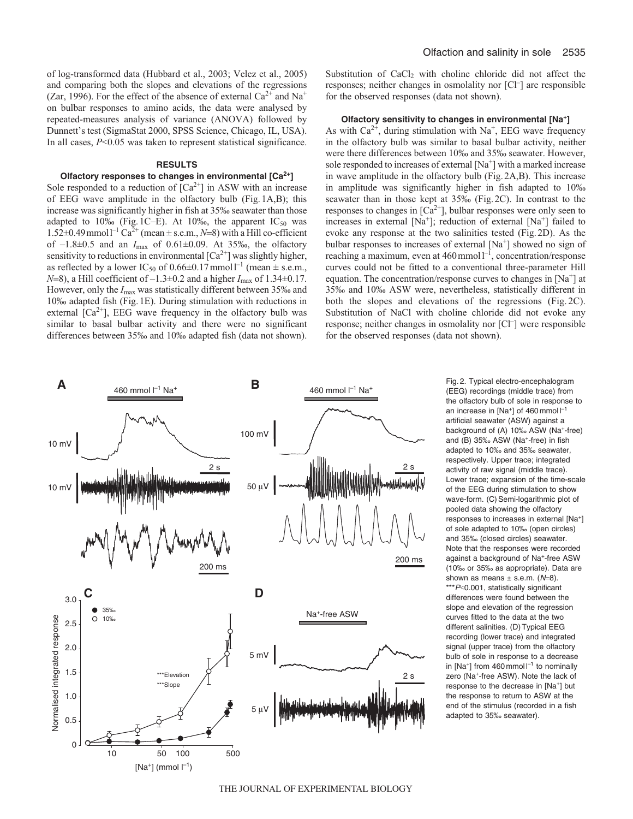of log-transformed data (Hubbard et al., 2003; Velez et al., 2005) and comparing both the slopes and elevations of the regressions (Zar, 1996). For the effect of the absence of external  $Ca^{2+}$  and  $Na^{+}$ on bulbar responses to amino acids, the data were analysed by repeated-measures analysis of variance (ANOVA) followed by Dunnett's test (SigmaStat 2000, SPSS Science, Chicago, IL, USA). In all cases,  $P<0.05$  was taken to represent statistical significance.

# **RESULTS**

## **Olfactory responses to changes in environmental [Ca2+]**

Sole responded to a reduction of  $[Ca^{2+}]$  in ASW with an increase of EEG wave amplitude in the olfactory bulb (Fig.1A,B); this increase was significantly higher in fish at 35‰ seawater than those adapted to 10‰ (Fig.1C–E). At 10‰, the apparent  $IC_{50}$  was 1.52 $\pm$ 0.49 mmol<sup>-1</sup> Ca<sup>2+</sup> (mean  $\pm$  s.e.m., *N*=8) with a Hill co-efficient of –1.8±0.5 and an *I*max of 0.61±0.09. At 35‰, the olfactory sensitivity to reductions in environmental  $[Ca^{2+}]$  was slightly higher, as reflected by a lower IC<sub>50</sub> of 0.66±0.17mmol<sup>1-1</sup> (mean  $\pm$  s.e.m., *<sup>N</sup>*=8), a Hill coefficient of –1.3±0.2 and a higher *I*max of 1.34±0.17. However, only the  $I_{\text{max}}$  was statistically different between 35‰ and 10‰ adapted fish (Fig.1E). During stimulation with reductions in external  $[Ca^{2+}]$ , EEG wave frequency in the olfactory bulb was similar to basal bulbar activity and there were no significant differences between 35‰ and 10‰ adapted fish (data not shown). Substitution of CaCl<sub>2</sub> with choline chloride did not affect the responses; neither changes in osmolality nor [Cl<sup>-</sup>] are responsible for the observed responses (data not shown).

#### **Olfactory sensitivity to changes in environmental [Na+]**

As with  $Ca^{2+}$ , during stimulation with Na<sup>+</sup>, EEG wave frequency in the olfactory bulb was similar to basal bulbar activity, neither were there differences between 10‰ and 35‰ seawater. However, sole responded to increases of external [Na+] with a marked increase in wave amplitude in the olfactory bulb (Fig.2A,B). This increase in amplitude was significantly higher in fish adapted to 10‰ seawater than in those kept at 35‰ (Fig.2C). In contrast to the responses to changes in  $[Ca^{2+}]$ , bulbar responses were only seen to increases in external  $[Na^+]$ ; reduction of external  $[Na^+]$  failed to evoke any response at the two salinities tested (Fig.2D). As the bulbar responses to increases of external [Na<sup>+</sup>] showed no sign of reaching a maximum, even at  $460$  mmol $1^{-1}$ , concentration/response curves could not be fitted to a conventional three-parameter Hill equation. The concentration/response curves to changes in  $[Na<sup>+</sup>]$  at 35‰ and 10‰ ASW were, nevertheless, statistically different in both the slopes and elevations of the regressions (Fig. 2C). Substitution of NaCl with choline chloride did not evoke any response; neither changes in osmolality nor [Cl<sup>-</sup>] were responsible for the observed responses (data not shown).



Fig. 2. Typical electro-encephalogram (EEG) recordings (middle trace) from the olfactory bulb of sole in response to an increase in [Na<sup>+</sup>] of 460 mmol  $I^{-1}$ artificial seawater (ASW) against a background of (A) 10‰ ASW (Na<sup>+</sup>-free) and (B) 35‰ ASW (Na<sup>+</sup>-free) in fish adapted to 10‰ and 35‰ seawater, respectively. Upper trace; integrated activity of raw signal (middle trace). Lower trace; expansion of the time-scale of the EEG during stimulation to show wave-form. (C) Semi-logarithmic plot of pooled data showing the olfactory responses to increases in external [Na+] of sole adapted to 10‰ (open circles) and 35‰ (closed circles) seawater. Note that the responses were recorded against a background of Na+-free ASW (10‰ or 35‰ as appropriate). Data are shown as means  $\pm$  s.e.m. ( $N=8$ ). \*\*\*P<0.001, statistically significant differences were found between the slope and elevation of the regression curves fitted to the data at the two different salinities. (D) Typical EEG recording (lower trace) and integrated signal (upper trace) from the olfactory bulb of sole in response to a decrease in [Na<sup>+</sup>] from 460 mmol  $I^{-1}$  to nominally zero (Na+-free ASW). Note the lack of response to the decrease in [Na+] but the response to return to ASW at the end of the stimulus (recorded in a fish adapted to 35‰ seawater).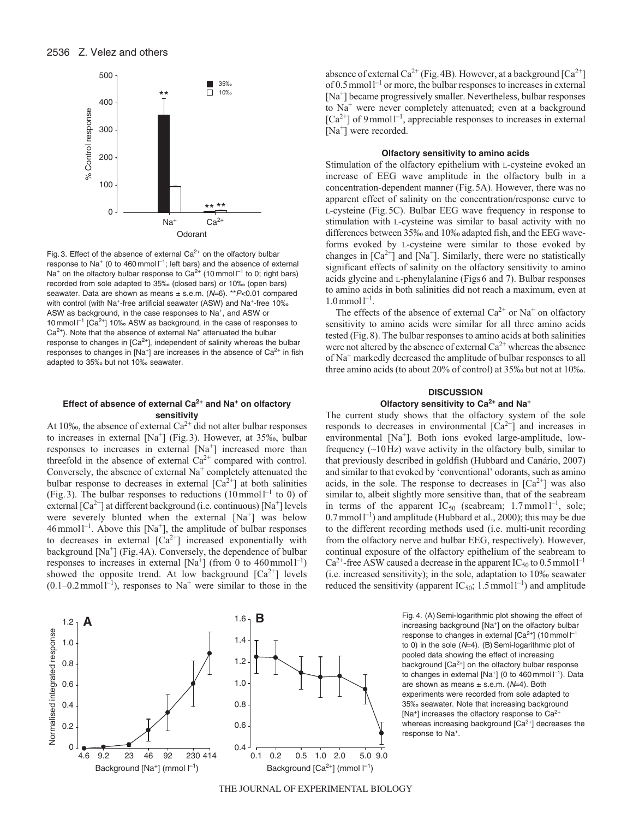

Fig. 3. Effect of the absence of external  $Ca^{2+}$  on the olfactory bulbar response to Na<sup>+</sup> (0 to 460 mmol  $I^{-1}$ ; left bars) and the absence of external Na<sup>+</sup> on the olfactory bulbar response to Ca<sup>2+</sup> (10 mmol  $I^{-1}$  to 0; right bars) recorded from sole adapted to 35‰ (closed bars) or 10‰ (open bars) seawater. Data are shown as means  $\pm$  s.e.m. (N=6). \*\*  $P$ <0.01 compared with control (with Na<sup>+</sup>-free artificial seawater (ASW) and Na<sup>+</sup>-free 10‰ ASW as background, in the case responses to Na<sup>+</sup>, and ASW or 10 mmol  $\vert^{-1}$  [Ca<sup>2+</sup>] 10‰ ASW as background, in the case of responses to  $Ca<sup>2+</sup>$ ). Note that the absence of external Na<sup>+</sup> attenuated the bulbar response to changes in  $[Ca^{2+}]$ , independent of salinity whereas the bulbar responses to changes in  $[Na^+]$  are increases in the absence of  $Ca^{2+}$  in fish adapted to 35‰ but not 10‰ seawater.

# **Effect of absence of external Ca2+ and Na<sup>+</sup> on olfactory sensitivity**

At 10‰, the absence of external  $Ca^{2+}$  did not alter bulbar responses to increases in external [Na+] (Fig.3). However, at 35‰, bulbar responses to increases in external [Na<sup>+</sup>] increased more than threefold in the absence of external  $Ca^{2+}$  compared with control. Conversely, the absence of external  $Na<sup>+</sup>$  completely attenuated the bulbar response to decreases in external  $\lceil Ca^{2+} \rceil$  at both salinities (Fig. 3). The bulbar responses to reductions  $(10 \text{mmol})^{-1}$  to 0) of external  $\left[Ca^{2+}\right]$  at different background (i.e. continuous)  $\left[Na^{+}\right]$  levels were severely blunted when the external  $[Na^+]$  was below  $46$  mmol<sup>1-1</sup>. Above this [Na<sup>+</sup>], the amplitude of bulbar responses to decreases in external  $[Ca^{2+}]$  increased exponentially with background  $[Na^+]$  (Fig. 4A). Conversely, the dependence of bulbar responses to increases in external  $[Na^+]$  (from 0 to 460 mmol<sup>-1</sup>) showed the opposite trend. At low background  $[Ca^{2+}]$  levels  $(0.1-0.2 \text{ mmol1}^{-1})$ , responses to Na<sup>+</sup> were similar to those in the



# **Olfactory sensitivity to amino acids**

Stimulation of the olfactory epithelium with L-cysteine evoked an increase of EEG wave amplitude in the olfactory bulb in a concentration-dependent manner (Fig.5A). However, there was no apparent effect of salinity on the concentration/response curve to L-cysteine (Fig.5C). Bulbar EEG wave frequency in response to stimulation with L-cysteine was similar to basal activity with no differences between 35‰ and 10‰ adapted fish, and the EEG waveforms evoked by L-cysteine were similar to those evoked by changes in  $[Ca^{2+}]$  and  $[Na^{+}]$ . Similarly, there were no statistically significant effects of salinity on the olfactory sensitivity to amino acids glycine and L-phenylalanine (Figs6 and 7). Bulbar responses to amino acids in both salinities did not reach a maximum, even at  $1.0$  mmol  $l^{-1}$ .

The effects of the absence of external  $Ca^{2+}$  or Na<sup>+</sup> on olfactory sensitivity to amino acids were similar for all three amino acids tested (Fig.8). The bulbar responses to amino acids at both salinities were not altered by the absence of external  $Ca^{2+}$  whereas the absence of Na+ markedly decreased the amplitude of bulbar responses to all three amino acids (to about 20% of control) at 35‰ but not at 10‰.

# **DISCUSSION Olfactory sensitivity to Ca2+ and Na<sup>+</sup>**

The current study shows that the olfactory system of the sole responds to decreases in environmental  $[Ca^{2+}]$  and increases in environmental [Na<sup>+</sup>]. Both ions evoked large-amplitude, lowfrequency  $(\sim 10 \text{ Hz})$  wave activity in the olfactory bulb, similar to that previously described in goldfish (Hubbard and Canário, 2007) and similar to that evoked by 'conventional' odorants, such as amino acids, in the sole. The response to decreases in  $[Ca^{2+}]$  was also similar to, albeit slightly more sensitive than, that of the seabream in terms of the apparent  $IC_{50}$  (seabream; 1.7 mmol  $l^{-1}$ , sole;  $0.7$  mmoll<sup>-1</sup>) and amplitude (Hubbard et al., 2000); this may be due to the different recording methods used (i.e. multi-unit recording from the olfactory nerve and bulbar EEG, respectively). However, continual exposure of the olfactory epithelium of the seabream to  $Ca^{2+}$ -free ASW caused a decrease in the apparent IC<sub>50</sub> to 0.5 mmol<sup>1-1</sup> (i.e. increased sensitivity); in the sole, adaptation to 10‰ seawater reduced the sensitivity (apparent IC<sub>50</sub>; 1.5 mmol<sup>1-1</sup>) and amplitude



**B** Fig. 4. (A) Semi-logarithmic plot showing the effect of increasing background [Na<sup>+</sup>] on the olfactory bulbar response to changes in external  $[Ca^{2+}]$  (10 mmol  $I^{-1}$ to 0) in the sole  $(N=4)$ . (B) Semi-logarithmic plot of pooled data showing the effect of increasing background [Ca<sup>2+</sup>] on the olfactory bulbar response to changes in external  $[Na^+]$  (0 to 460 mmol  $I^{-1}$ ). Data are shown as means  $\pm$  s.e.m. ( $N=4$ ). Both experiments were recorded from sole adapted to 35‰ seawater. Note that increasing background [Na<sup>+</sup>] increases the olfactory response to  $Ca<sup>2+</sup>$ whereas increasing background  $[Ca<sup>2+</sup>]$  decreases the response to Na<sup>+</sup>.

THE JOURNAL OF EXPERIMENTAL BIOLOGY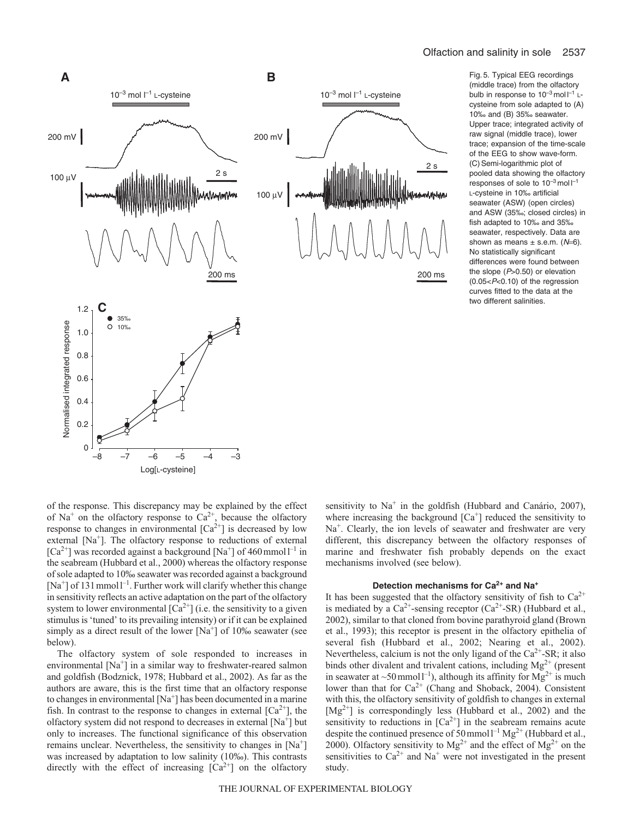

(middle trace) from the olfactory bulb in response to  $10^{-3}$  mol  $I^{-1}$  Lcysteine from sole adapted to (A) 10‰ and (B) 35‰ seawater. Upper trace; integrated activity of raw signal (middle trace), lower trace; expansion of the time-scale of the EEG to show wave-form. (C) Semi-logarithmic plot of pooled data showing the olfactory responses of sole to  $10^{-3}$  mol  $I^{-1}$ L-cysteine in 10‰ artificial seawater (ASW) (open circles) and ASW (35‰; closed circles) in fish adapted to 10‰ and 35‰ seawater, respectively. Data are shown as means  $\pm$  s.e.m. ( $N=6$ ). No statistically significant differences were found between the slope  $(P>0.50)$  or elevation  $(0.05 < P < 0.10)$  of the regression curves fitted to the data at the two different salinities.

of the response. This discrepancy may be explained by the effect of Na<sup>+</sup> on the olfactory response to  $Ca^{2+}$ , because the olfactory response to changes in environmental  $[Ca^{2+}]$  is decreased by low external  $[Na<sup>+</sup>]$ . The olfactory response to reductions of external  $[Ca^{2+}]$  was recorded against a background  $[Na^{+}]$  of 460 mmol  $I^{-1}$  in the seabream (Hubbard et al., 2000) whereas the olfactory response of sole adapted to 10‰ seawater was recorded against a background  $[Na^+]$  of 131 mmol<sup> $-1$ </sup>. Further work will clarify whether this change in sensitivity reflects an active adaptation on the part of the olfactory system to lower environmental  $\lceil Ca^{2+} \rceil$  (i.e. the sensitivity to a given stimulus is 'tuned' to its prevailing intensity) or if it can be explained simply as a direct result of the lower  $[Na^+]$  of 10‰ seawater (see below).

The olfactory system of sole responded to increases in environmental  $[Na^+]$  in a similar way to freshwater-reared salmon and goldfish (Bodznick, 1978; Hubbard et al., 2002). As far as the authors are aware, this is the first time that an olfactory response to changes in environmental  $[Na^+]$  has been documented in a marine fish. In contrast to the response to changes in external  $[Ca<sup>2+</sup>]$ , the olfactory system did not respond to decreases in external  $[Na^+]$  but only to increases. The functional significance of this observation remains unclear. Nevertheless, the sensitivity to changes in  $[Na^+]$ was increased by adaptation to low salinity (10‰). This contrasts directly with the effect of increasing  $[Ca^{2+}]$  on the olfactory sensitivity to Na<sup>+</sup> in the goldfish (Hubbard and Canário, 2007), where increasing the background  $[Ca<sup>+</sup>]$  reduced the sensitivity to  $Na<sup>+</sup>$ . Clearly, the ion levels of seawater and freshwater are very different, this discrepancy between the olfactory responses of marine and freshwater fish probably depends on the exact mechanisms involved (see below).

# **Detection mechanisms for Ca2+ and Na<sup>+</sup>**

It has been suggested that the olfactory sensitivity of fish to  $Ca^{2+}$ is mediated by a  $Ca^{2+}$ -sensing receptor ( $Ca^{2+}$ -SR) (Hubbard et al., 2002), similar to that cloned from bovine parathyroid gland (Brown et al., 1993); this receptor is present in the olfactory epithelia of several fish (Hubbard et al., 2002; Nearing et al., 2002). Nevertheless, calcium is not the only ligand of the  $Ca^{2+}$ -SR; it also binds other divalent and trivalent cations, including  $Mg^{2+}$  (present in seawater at ~50 mmol  $l^{-1}$ ), although its affinity for  $Mg^{2+}$  is much lower than that for  $Ca^{2+}$  (Chang and Shoback, 2004). Consistent with this, the olfactory sensitivity of goldfish to changes in external  $[Mg^{2+}]$  is correspondingly less (Hubbard et al., 2002) and the sensitivity to reductions in  $[Ca^{2+}]$  in the seabream remains acute despite the continued presence of  $50$  mmol<sup>1-1</sup> Mg<sup>2+</sup> (Hubbard et al., 2000). Olfactory sensitivity to  $Mg^{2+}$  and the effect of  $Mg^{2+}$  on the sensitivities to  $Ca^{2+}$  and Na<sup>+</sup> were not investigated in the present study.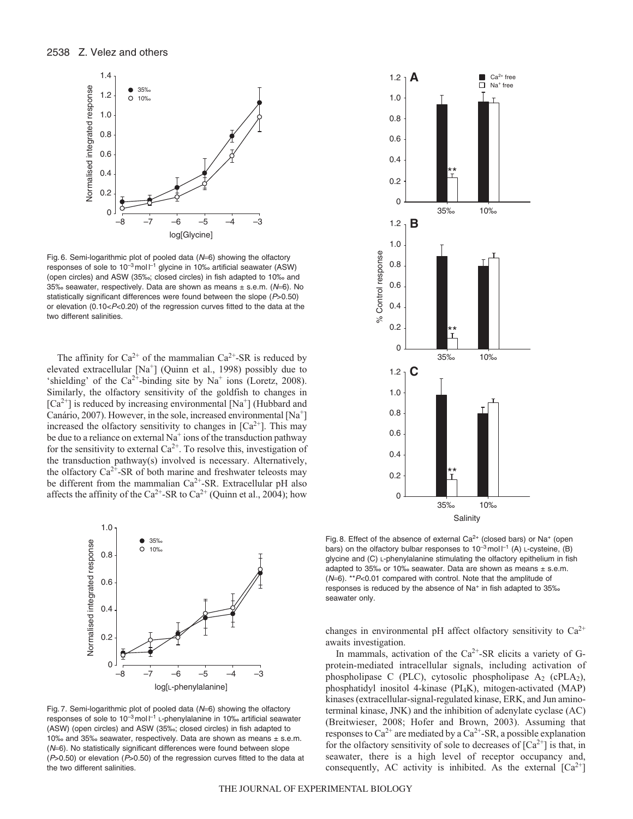

Fig. 6. Semi-logarithmic plot of pooled data  $(N=6)$  showing the olfactory responses of sole to  $10^{-3}$  mol  $I^{-1}$  glycine in 10‰ artificial seawater (ASW) (open circles) and ASW (35‰; closed circles) in fish adapted to 10‰ and 35‰ seawater, respectively. Data are shown as means  $\pm$  s.e.m. ( $N=6$ ). No statistically significant differences were found between the slope (P>0.50) or elevation (0.10 < $P$  < 0.20) of the regression curves fitted to the data at the two different salinities.

The affinity for  $Ca^{2+}$  of the mammalian  $Ca^{2+}-SR$  is reduced by elevated extracellular [Na+] (Quinn et al., 1998) possibly due to 'shielding' of the  $Ca^{2+}$ -binding site by Na<sup>+</sup> ions (Loretz, 2008). Similarly, the olfactory sensitivity of the goldfish to changes in  $[Ca^{2+}]$  is reduced by increasing environmental  $[Na^+]$  (Hubbard and Canário, 2007). However, in the sole, increased environmental  $[Na^+]$ increased the olfactory sensitivity to changes in  $[Ca<sup>2+</sup>]$ . This may be due to a reliance on external  $Na<sup>+</sup>$  ions of the transduction pathway for the sensitivity to external  $Ca^{2+}$ . To resolve this, investigation of the transduction pathway(s) involved is necessary. Alternatively, the olfactory  $Ca^{2+}$ -SR of both marine and freshwater teleosts may be different from the mammalian  $Ca^{2+}$ -SR. Extracellular pH also affects the affinity of the Ca<sup>2+</sup>-SR to Ca<sup>2+</sup> (Quinn et al., 2004); how



Fig. 7. Semi-logarithmic plot of pooled data (N=6) showing the olfactory responses of sole to  $10^{-3}$  mol  $l^{-1}$  L-phenylalanine in 10‰ artificial seawater (ASW) (open circles) and ASW (35‰; closed circles) in fish adapted to 10‰ and 35‰ seawater, respectively. Data are shown as means ± s.e.m. (N=6). No statistically significant differences were found between slope  $(P>0.50)$  or elevation ( $P>0.50$ ) of the regression curves fitted to the data at the two different salinities.



Fig. 8. Effect of the absence of external  $Ca^{2+}$  (closed bars) or Na<sup>+</sup> (open bars) on the olfactory bulbar responses to  $10^{-3}$  mol  $\vert$ <sup>-1</sup> (A) L-cysteine, (B) glycine and (C) L-phenylalanine stimulating the olfactory epithelium in fish adapted to 35‰ or 10‰ seawater. Data are shown as means  $±$  s.e.m.  $(N=6)$ . \*\* $P<0.01$  compared with control. Note that the amplitude of responses is reduced by the absence of Na<sup>+</sup> in fish adapted to 35‰ seawater only.

changes in environmental pH affect olfactory sensitivity to  $Ca^{2+}$ awaits investigation.

In mammals, activation of the  $Ca<sup>2+</sup>-SR$  elicits a variety of Gprotein-mediated intracellular signals, including activation of phospholipase C (PLC), cytosolic phospholipase  $A_2$  (cPLA<sub>2</sub>), phosphatidyl inositol 4-kinase (PI4K), mitogen-activated (MAP) kinases (extracellular-signal-regulated kinase, ERK, and Jun aminoterminal kinase, JNK) and the inhibition of adenylate cyclase (AC) (Breitwieser, 2008; Hofer and Brown, 2003). Assuming that responses to  $Ca^{2+}$  are mediated by a  $Ca^{2+}$ -SR, a possible explanation for the olfactory sensitivity of sole to decreases of  $\lceil Ca^{2+} \rceil$  is that, in seawater, there is a high level of receptor occupancy and, consequently, AC activity is inhibited. As the external  $\lceil Ca^{2+} \rceil$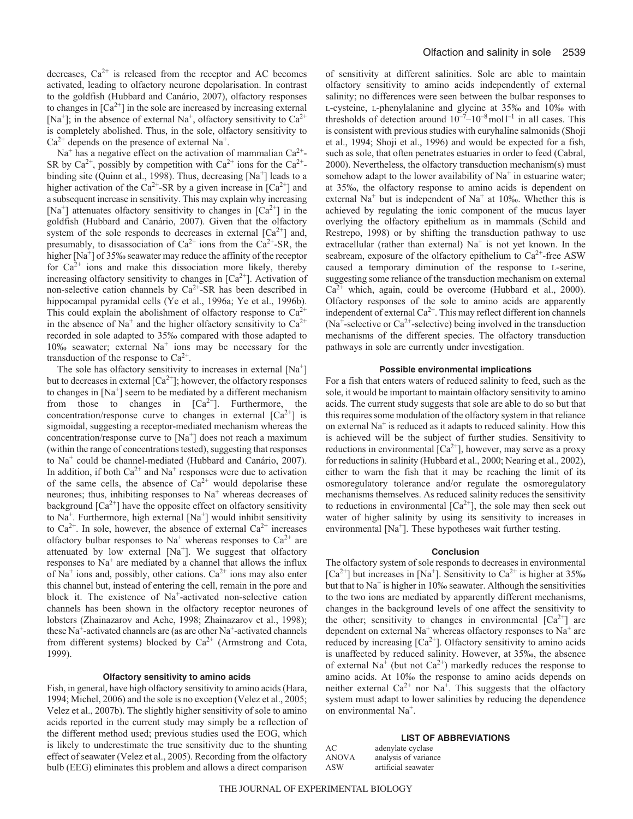decreases,  $Ca^{2+}$  is released from the receptor and AC becomes activated, leading to olfactory neurone depolarisation. In contrast to the goldfish (Hubbard and Canário, 2007), olfactory responses to changes in  $[Ca^{2+}]$  in the sole are increased by increasing external [Na<sup>+</sup>]; in the absence of external Na<sup>+</sup>, olfactory sensitivity to  $Ca^{2+}$ is completely abolished. Thus, in the sole, olfactory sensitivity to  $Ca^{2+}$  depends on the presence of external Na<sup>+</sup>.

 $Na<sup>+</sup>$  has a negative effect on the activation of mammalian  $Ca<sup>2+</sup>$ -SR by  $Ca^{2+}$ , possibly by competition with  $Ca^{2+}$  ions for the  $Ca^{2+}$ binding site (Quinn et al., 1998). Thus, decreasing  $[Na^+]$  leads to a higher activation of the Ca<sup>2+</sup>-SR by a given increase in  $[Ca^{2+}]$  and a subsequent increase in sensitivity. This may explain why increasing [Na<sup>+</sup>] attenuates olfactory sensitivity to changes in  $[Ca^{2+}]$  in the goldfish (Hubbard and Canário, 2007). Given that the olfactory system of the sole responds to decreases in external  $[Ca^{2+}]$  and, presumably, to disassociation of  $Ca^{2+}$  ions from the  $Ca^{2+}-SR$ , the higher  $[Na<sup>+</sup>]$  of 35‰ seawater may reduce the affinity of the receptor for  $Ca^{2+}$  ions and make this dissociation more likely, thereby increasing olfactory sensitivity to changes in  $[Ca<sup>2+</sup>]$ . Activation of non-selective cation channels by  $Ca^{2+}SR$  has been described in hippocampal pyramidal cells (Ye et al., 1996a; Ye et al., 1996b). This could explain the abolishment of olfactory response to  $Ca^{2+}$ in the absence of Na<sup>+</sup> and the higher olfactory sensitivity to  $Ca^{2+}$ recorded in sole adapted to 35‰ compared with those adapted to 10‰ seawater; external  $Na<sup>+</sup>$  ions may be necessary for the transduction of the response to  $Ca^{2+}$ .

The sole has olfactory sensitivity to increases in external  $[Na^+]$ but to decreases in external  $\lceil Ca^{2+} \rceil$ ; however, the olfactory responses to changes in  $[Na^+]$  seem to be mediated by a different mechanism from those to changes in  $[Ca^{2+}]$ . Furthermore, the concentration/response curve to changes in external  $[Ca^{2+}]$  is sigmoidal, suggesting a receptor-mediated mechanism whereas the concentration/response curve to  $[Na^+]$  does not reach a maximum (within the range of concentrations tested), suggesting that responses to Na+ could be channel-mediated (Hubbard and Canário, 2007). In addition, if both  $Ca^{2+}$  and Na<sup>+</sup> responses were due to activation of the same cells, the absence of  $Ca^{2+}$  would depolarise these neurones; thus, inhibiting responses to  $Na<sup>+</sup>$  whereas decreases of background  $[Ca^{2+}]$  have the opposite effect on olfactory sensitivity to  $Na<sup>+</sup>$ . Furthermore, high external  $[Na<sup>+</sup>]$  would inhibit sensitivity to  $Ca^{2+}$ . In sole, however, the absence of external  $Ca^{2+}$  increases olfactory bulbar responses to  $Na<sup>+</sup>$  whereas responses to  $Ca<sup>2+</sup>$  are attenuated by low external  $[Na<sup>+</sup>]$ . We suggest that olfactory responses to  $Na<sup>+</sup>$  are mediated by a channel that allows the influx of  $Na<sup>+</sup>$  ions and, possibly, other cations.  $Ca<sup>2+</sup>$  ions may also enter this channel but, instead of entering the cell, remain in the pore and block it. The existence of Na<sup>+</sup>-activated non-selective cation channels has been shown in the olfactory receptor neurones of lobsters (Zhainazarov and Ache, 1998; Zhainazarov et al., 1998); these Na<sup>+</sup>-activated channels are (as are other Na<sup>+</sup>-activated channels from different systems) blocked by  $Ca^{2+}$  (Armstrong and Cota, 1999).

### **Olfactory sensitivity to amino acids**

Fish, in general, have high olfactory sensitivity to amino acids (Hara, 1994; Michel, 2006) and the sole is no exception (Velez et al., 2005; Velez et al., 2007b). The slightly higher sensitivity of sole to amino acids reported in the current study may simply be a reflection of the different method used; previous studies used the EOG, which is likely to underestimate the true sensitivity due to the shunting effect of seawater (Velez et al., 2005). Recording from the olfactory bulb (EEG) eliminates this problem and allows a direct comparison of sensitivity at different salinities. Sole are able to maintain olfactory sensitivity to amino acids independently of external salinity; no differences were seen between the bulbar responses to L-cysteine, L-phenylalanine and glycine at 35‰ and 10‰ with thresholds of detection around  $10^{-7}$ – $10^{-8}$  moll<sup>-1</sup> in all cases. This is consistent with previous studies with euryhaline salmonids (Shoji et al., 1994; Shoji et al., 1996) and would be expected for a fish, such as sole, that often penetrates estuaries in order to feed (Cabral, 2000). Nevertheless, the olfactory transduction mechanism(s) must somehow adapt to the lower availability of  $Na<sup>+</sup>$  in estuarine water; at 35‰, the olfactory response to amino acids is dependent on external Na<sup>+</sup> but is independent of Na<sup>+</sup> at 10‰. Whether this is achieved by regulating the ionic component of the mucus layer overlying the olfactory epithelium as in mammals (Schild and Restrepo, 1998) or by shifting the transduction pathway to use extracellular (rather than external)  $Na<sup>+</sup>$  is not yet known. In the seabream, exposure of the olfactory epithelium to  $Ca^{2+}$ -free ASW caused a temporary diminution of the response to L-serine, suggesting some reliance of the transduction mechanism on external  $Ca^{2+}$  which, again, could be overcome (Hubbard et al., 2000). Olfactory responses of the sole to amino acids are apparently independent of external  $Ca^{2+}$ . This may reflect different ion channels (Na<sup>+</sup>-selective or Ca<sup>2+</sup>-selective) being involved in the transduction mechanisms of the different species. The olfactory transduction pathways in sole are currently under investigation.

### **Possible environmental implications**

For a fish that enters waters of reduced salinity to feed, such as the sole, it would be important to maintain olfactory sensitivity to amino acids. The current study suggests that sole are able to do so but that this requires some modulation of the olfactory system in that reliance on external  $Na<sup>+</sup>$  is reduced as it adapts to reduced salinity. How this is achieved will be the subject of further studies. Sensitivity to reductions in environmental  $[Ca^{2+}]$ , however, may serve as a proxy for reductions in salinity (Hubbard et al., 2000; Nearing et al., 2002), either to warn the fish that it may be reaching the limit of its osmoregulatory tolerance and/or regulate the osmoregulatory mechanisms themselves. As reduced salinity reduces the sensitivity to reductions in environmental  $[Ca^{2+}]$ , the sole may then seek out water of higher salinity by using its sensitivity to increases in environmental  $[Na^+]$ . These hypotheses wait further testing.

### **Conclusion**

The olfactory system of sole responds to decreases in environmental  $[Ca<sup>2+</sup>]$  but increases in [Na<sup>+</sup>]. Sensitivity to  $Ca<sup>2+</sup>$  is higher at 35‰ but that to  $Na<sup>+</sup>$  is higher in 10‰ seawater. Although the sensitivities to the two ions are mediated by apparently different mechanisms, changes in the background levels of one affect the sensitivity to the other; sensitivity to changes in environmental  $[Ca^{2+}]$  are dependent on external  $Na<sup>+</sup>$  whereas olfactory responses to  $Na<sup>+</sup>$  are reduced by increasing  $[Ca^{2+}]$ . Olfactory sensitivity to amino acids is unaffected by reduced salinity. However, at 35‰, the absence of external Na<sup>+</sup> (but not Ca<sup>2+</sup>) markedly reduces the response to amino acids. At 10‰ the response to amino acids depends on neither external  $Ca^{2+}$  nor Na<sup>+</sup>. This suggests that the olfactory system must adapt to lower salinities by reducing the dependence on environmental Na+.

#### **LIST OF ABBREVIATIONS**

| AC           | adenylate cyclase    |
|--------------|----------------------|
| <b>ANOVA</b> | analysis of variance |
| ASW          | artificial seawater  |